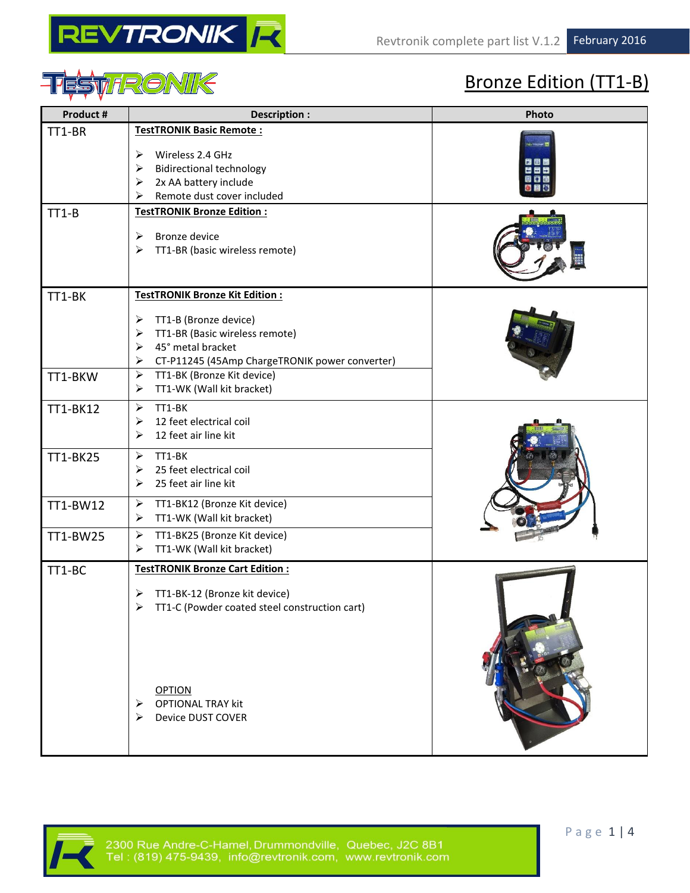



# Bronze Edition (TT1-B)

| TT1-BR<br><b>TestTRONIK Basic Remote:</b><br>Wireless 2.4 GHz<br>➤<br><b>Bidirectional technology</b><br>➤<br>2x AA battery include<br>➤<br>Remote dust cover included<br>⋗<br><b>TestTRONIK Bronze Edition:</b><br>$TT1-B$<br><b>Bronze device</b><br>➤<br>TT1-BR (basic wireless remote)<br>➤<br><b>TestTRONIK Bronze Kit Edition:</b><br>TT1-BK<br>TT1-B (Bronze device)<br>➤<br>TT1-BR (Basic wireless remote)<br>➤<br>45° metal bracket<br>➤<br>CT-P11245 (45Amp ChargeTRONIK power converter)<br>➤<br>TT1-BK (Bronze Kit device)<br>➤<br>TT1-BKW<br>TT1-WK (Wall kit bracket)<br>➤<br>TT1-BK<br>$\blacktriangleright$<br>TT1-BK12<br>12 feet electrical coil<br>➤<br>12 feet air line kit<br>➤<br>TT1-BK<br>➤<br>TT1-BK25<br>25 feet electrical coil<br>➤<br>25 feet air line kit<br>➤<br>TT1-BK12 (Bronze Kit device)<br>➤<br>TT1-BW12<br>TT1-WK (Wall kit bracket)<br>➤<br>TT1-BK25 (Bronze Kit device)<br>➤<br>TT1-BW25<br>TT1-WK (Wall kit bracket)<br>➤<br><b>TestTRONIK Bronze Cart Edition:</b><br>TT1-BC<br>TT1-BK-12 (Bronze kit device)<br>➤ | Photo |
|--------------------------------------------------------------------------------------------------------------------------------------------------------------------------------------------------------------------------------------------------------------------------------------------------------------------------------------------------------------------------------------------------------------------------------------------------------------------------------------------------------------------------------------------------------------------------------------------------------------------------------------------------------------------------------------------------------------------------------------------------------------------------------------------------------------------------------------------------------------------------------------------------------------------------------------------------------------------------------------------------------------------------------------------------------------|-------|
|                                                                                                                                                                                                                                                                                                                                                                                                                                                                                                                                                                                                                                                                                                                                                                                                                                                                                                                                                                                                                                                              |       |
|                                                                                                                                                                                                                                                                                                                                                                                                                                                                                                                                                                                                                                                                                                                                                                                                                                                                                                                                                                                                                                                              |       |
|                                                                                                                                                                                                                                                                                                                                                                                                                                                                                                                                                                                                                                                                                                                                                                                                                                                                                                                                                                                                                                                              |       |
|                                                                                                                                                                                                                                                                                                                                                                                                                                                                                                                                                                                                                                                                                                                                                                                                                                                                                                                                                                                                                                                              |       |
|                                                                                                                                                                                                                                                                                                                                                                                                                                                                                                                                                                                                                                                                                                                                                                                                                                                                                                                                                                                                                                                              |       |
|                                                                                                                                                                                                                                                                                                                                                                                                                                                                                                                                                                                                                                                                                                                                                                                                                                                                                                                                                                                                                                                              |       |
|                                                                                                                                                                                                                                                                                                                                                                                                                                                                                                                                                                                                                                                                                                                                                                                                                                                                                                                                                                                                                                                              |       |
| TT1-C (Powder coated steel construction cart)<br><b>OPTION</b><br><b>OPTIONAL TRAY kit</b><br><b>Device DUST COVER</b>                                                                                                                                                                                                                                                                                                                                                                                                                                                                                                                                                                                                                                                                                                                                                                                                                                                                                                                                       |       |

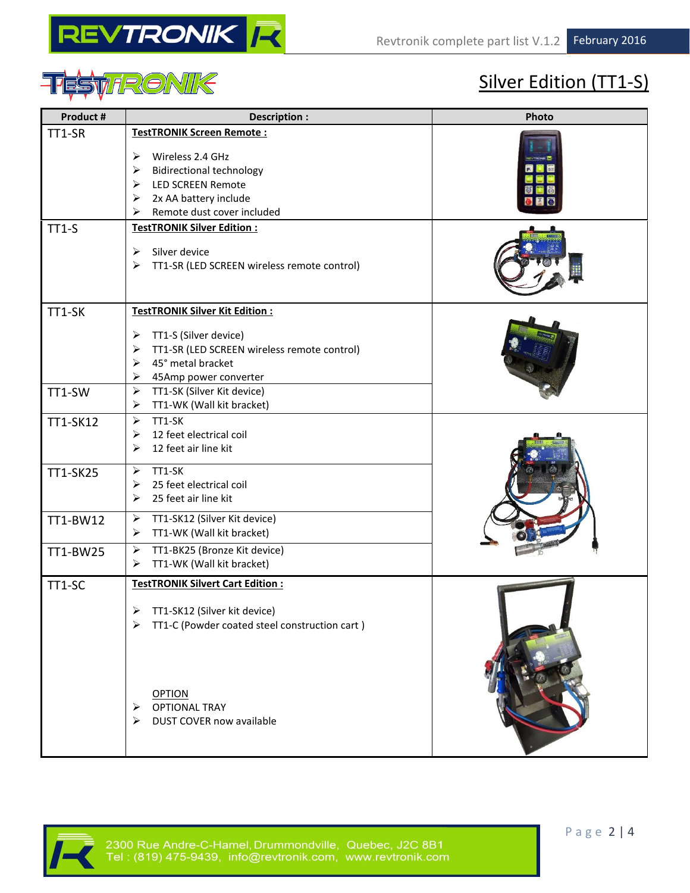



# Silver Edition (TT1-S)

| Product #            | Description :                                                                                                                                                                                                                                                     | Photo |
|----------------------|-------------------------------------------------------------------------------------------------------------------------------------------------------------------------------------------------------------------------------------------------------------------|-------|
| TT1-SR               | <b>TestTRONIK Screen Remote:</b><br>Wireless 2.4 GHz<br>➤<br>$\blacktriangleright$<br><b>Bidirectional technology</b><br>$\blacktriangleright$<br><b>LED SCREEN Remote</b><br>2x AA battery include<br>➤<br>Remote dust cover included<br>⋗                       |       |
| $TT1-S$              | <b>TestTRONIK Silver Edition:</b><br>Silver device<br>➤<br>➤<br>TT1-SR (LED SCREEN wireless remote control)                                                                                                                                                       |       |
| TT1-SK<br>TT1-SW     | TestTRONIK Silver Kit Edition:<br>TT1-S (Silver device)<br>➤<br>TT1-SR (LED SCREEN wireless remote control)<br>➤<br>45° metal bracket<br>➤<br>➤<br>45Amp power converter<br>$\blacktriangleright$<br>TT1-SK (Silver Kit device)<br>TT1-WK (Wall kit bracket)<br>➤ |       |
| TT1-SK12<br>TT1-SK25 | $\blacktriangleright$<br>TT1-SK<br>12 feet electrical coil<br>➤<br>12 feet air line kit<br>➤<br>TT1-SK<br>➤                                                                                                                                                       |       |
|                      | 25 feet electrical coil<br>➤<br>25 feet air line kit<br>➤                                                                                                                                                                                                         |       |
| TT1-BW12             | $\blacktriangleright$<br>TT1-SK12 (Silver Kit device)<br>TT1-WK (Wall kit bracket)<br>➤<br>$\blacktriangleright$                                                                                                                                                  |       |
| TT1-BW25             | TT1-BK25 (Bronze Kit device)<br>TT1-WK (Wall kit bracket)<br>➤                                                                                                                                                                                                    |       |
| TT1-SC               | <b>TestTRONIK Silvert Cart Edition:</b><br>TT1-SK12 (Silver kit device)<br>TT1-C (Powder coated steel construction cart)<br>⋗                                                                                                                                     |       |
|                      | <b>OPTION</b><br><b>OPTIONAL TRAY</b><br>⋗<br>DUST COVER now available<br>⋗                                                                                                                                                                                       |       |

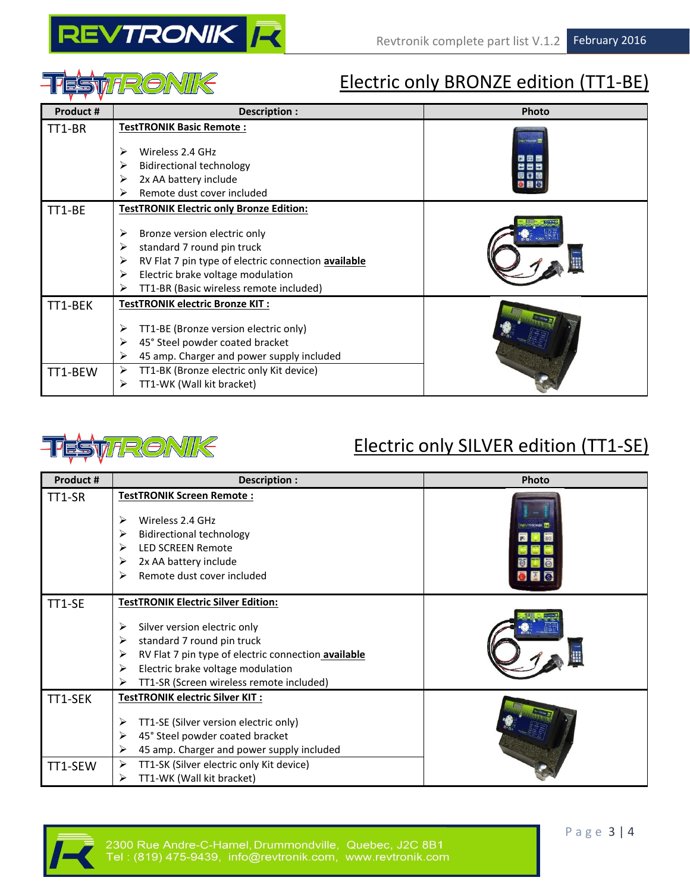



### Electric only BRONZE edition (TT1-BE)

| Product # | Description :                                            | Photo |
|-----------|----------------------------------------------------------|-------|
| TT1-BR    | <b>TestTRONIK Basic Remote:</b>                          |       |
|           | Wireless 2.4 GHz<br>⋗                                    | 問用屋   |
|           | <b>Bidirectional technology</b><br>⋗                     | 연중단   |
|           | 2x AA battery include<br>≻                               |       |
|           | Remote dust cover included<br>⋗                          |       |
| TT1-BE    | <b>TestTRONIK Electric only Bronze Edition:</b>          |       |
|           | ➤<br>Bronze version electric only                        |       |
|           | standard 7 round pin truck<br>⋗                          |       |
|           | ⋗<br>RV Flat 7 pin type of electric connection available |       |
|           | Electric brake voltage modulation<br>⋗                   |       |
|           | TT1-BR (Basic wireless remote included)<br>⋗             |       |
| TT1-BEK   | TestTRONIK electric Bronze KIT:                          |       |
|           | TT1-BE (Bronze version electric only)<br>⋗               |       |
|           | ➤<br>45° Steel powder coated bracket                     |       |
|           | 45 amp. Charger and power supply included<br>➤           |       |
| TT1-BEW   | ➤<br>TT1-BK (Bronze electric only Kit device)            |       |
|           | TT1-WK (Wall kit bracket)<br>⋗                           |       |



### Electric only SILVER edition (TT1-SE)

| Product # | Description :                                            | Photo |
|-----------|----------------------------------------------------------|-------|
| TT1-SR    | <b>TestTRONIK Screen Remote:</b>                         |       |
|           | Wireless 2.4 GHz<br>➤                                    |       |
|           |                                                          |       |
|           | <b>Bidirectional technology</b><br>➤                     |       |
|           | <b>LED SCREEN Remote</b><br>⋗                            |       |
|           | 2x AA battery include<br>⋗                               |       |
|           | Remote dust cover included<br>⋗                          |       |
| TT1-SE    | <b>TestTRONIK Electric Silver Edition:</b>               |       |
|           |                                                          |       |
|           | Silver version electric only<br>➤                        |       |
|           | standard 7 round pin truck<br>⋗                          |       |
|           | RV Flat 7 pin type of electric connection available<br>➤ |       |
|           | Electric brake voltage modulation<br>⋗                   |       |
|           | TT1-SR (Screen wireless remote included)<br>⋗            |       |
| TT1-SEK   | TestTRONIK electric Silver KIT:                          |       |
|           | TT1-SE (Silver version electric only)<br>➤               |       |
|           | 45° Steel powder coated bracket<br>➤                     |       |
|           | 45 amp. Charger and power supply included<br>⋗           |       |
| TT1-SEW   | TT1-SK (Silver electric only Kit device)<br>⋗            |       |
|           | TT1-WK (Wall kit bracket)<br>⋗                           |       |